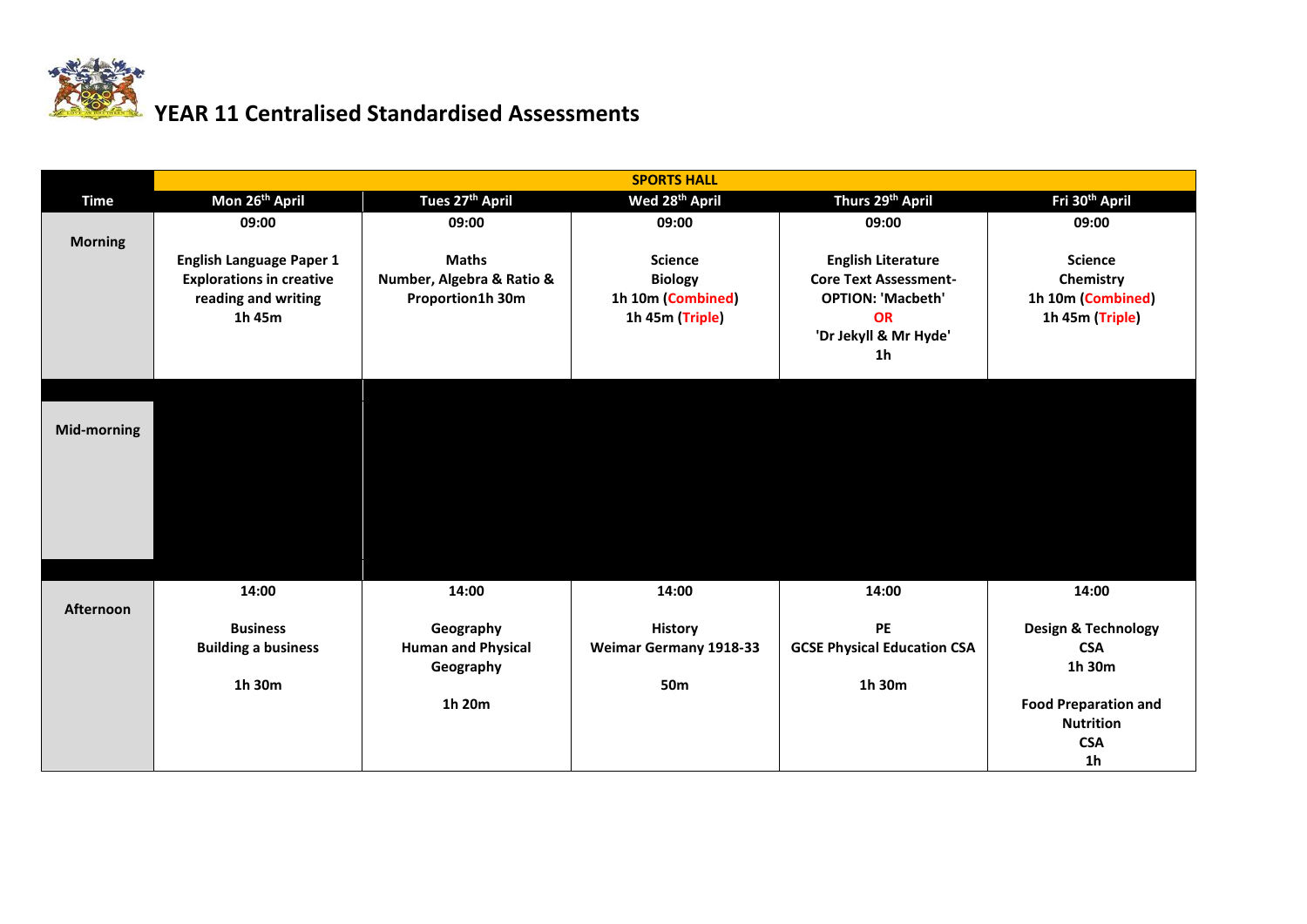

## **YEAR 11 Centralised Standardised Assessments**

| Mon 26 <sup>th</sup> April<br>Wed 28 <sup>th</sup> April<br>Thurs 29 <sup>th</sup> April<br>Fri 30 <sup>th</sup> April<br>Tues 27 <sup>th</sup> April<br><b>Time</b><br>09:00<br>09:00<br>09:00<br>09:00<br>09:00<br><b>Morning</b><br><b>Maths</b><br><b>English Language Paper 1</b><br><b>Science</b><br><b>English Literature</b><br><b>Science</b><br>Number, Algebra & Ratio &<br><b>Core Text Assessment-</b><br><b>Explorations in creative</b><br><b>Biology</b><br>Chemistry<br>reading and writing<br>1h 10m (Combined)<br><b>OPTION: 'Macbeth'</b><br>1h 10m (Combined)<br>Proportion1h 30m<br><b>OR</b><br>1h 45m<br>1h 45m (Triple)<br>1h 45m (Triple)<br>'Dr Jekyll & Mr Hyde'<br>1h<br>Mid-morning<br>14:00<br>14:00<br>14:00<br>14:00<br>14:00<br><b>Afternoon</b><br><b>PE</b><br><b>Design &amp; Technology</b><br><b>Business</b><br>Geography<br><b>History</b> |                            |                           | <b>SPORTS HALL</b>            |                                    |                             |
|--------------------------------------------------------------------------------------------------------------------------------------------------------------------------------------------------------------------------------------------------------------------------------------------------------------------------------------------------------------------------------------------------------------------------------------------------------------------------------------------------------------------------------------------------------------------------------------------------------------------------------------------------------------------------------------------------------------------------------------------------------------------------------------------------------------------------------------------------------------------------------------|----------------------------|---------------------------|-------------------------------|------------------------------------|-----------------------------|
|                                                                                                                                                                                                                                                                                                                                                                                                                                                                                                                                                                                                                                                                                                                                                                                                                                                                                      |                            |                           |                               |                                    |                             |
|                                                                                                                                                                                                                                                                                                                                                                                                                                                                                                                                                                                                                                                                                                                                                                                                                                                                                      |                            |                           |                               |                                    |                             |
|                                                                                                                                                                                                                                                                                                                                                                                                                                                                                                                                                                                                                                                                                                                                                                                                                                                                                      |                            |                           |                               |                                    |                             |
|                                                                                                                                                                                                                                                                                                                                                                                                                                                                                                                                                                                                                                                                                                                                                                                                                                                                                      |                            |                           |                               |                                    |                             |
|                                                                                                                                                                                                                                                                                                                                                                                                                                                                                                                                                                                                                                                                                                                                                                                                                                                                                      |                            |                           |                               |                                    |                             |
|                                                                                                                                                                                                                                                                                                                                                                                                                                                                                                                                                                                                                                                                                                                                                                                                                                                                                      |                            |                           |                               |                                    |                             |
|                                                                                                                                                                                                                                                                                                                                                                                                                                                                                                                                                                                                                                                                                                                                                                                                                                                                                      |                            |                           |                               |                                    |                             |
|                                                                                                                                                                                                                                                                                                                                                                                                                                                                                                                                                                                                                                                                                                                                                                                                                                                                                      |                            |                           |                               |                                    |                             |
|                                                                                                                                                                                                                                                                                                                                                                                                                                                                                                                                                                                                                                                                                                                                                                                                                                                                                      |                            |                           |                               |                                    |                             |
|                                                                                                                                                                                                                                                                                                                                                                                                                                                                                                                                                                                                                                                                                                                                                                                                                                                                                      |                            |                           |                               |                                    |                             |
|                                                                                                                                                                                                                                                                                                                                                                                                                                                                                                                                                                                                                                                                                                                                                                                                                                                                                      |                            |                           |                               |                                    |                             |
|                                                                                                                                                                                                                                                                                                                                                                                                                                                                                                                                                                                                                                                                                                                                                                                                                                                                                      |                            |                           |                               |                                    |                             |
|                                                                                                                                                                                                                                                                                                                                                                                                                                                                                                                                                                                                                                                                                                                                                                                                                                                                                      |                            |                           |                               |                                    |                             |
|                                                                                                                                                                                                                                                                                                                                                                                                                                                                                                                                                                                                                                                                                                                                                                                                                                                                                      |                            |                           |                               |                                    |                             |
|                                                                                                                                                                                                                                                                                                                                                                                                                                                                                                                                                                                                                                                                                                                                                                                                                                                                                      |                            |                           |                               |                                    |                             |
|                                                                                                                                                                                                                                                                                                                                                                                                                                                                                                                                                                                                                                                                                                                                                                                                                                                                                      |                            |                           |                               |                                    |                             |
|                                                                                                                                                                                                                                                                                                                                                                                                                                                                                                                                                                                                                                                                                                                                                                                                                                                                                      |                            |                           |                               |                                    |                             |
|                                                                                                                                                                                                                                                                                                                                                                                                                                                                                                                                                                                                                                                                                                                                                                                                                                                                                      |                            |                           |                               |                                    |                             |
|                                                                                                                                                                                                                                                                                                                                                                                                                                                                                                                                                                                                                                                                                                                                                                                                                                                                                      |                            |                           |                               |                                    |                             |
|                                                                                                                                                                                                                                                                                                                                                                                                                                                                                                                                                                                                                                                                                                                                                                                                                                                                                      |                            |                           |                               |                                    |                             |
|                                                                                                                                                                                                                                                                                                                                                                                                                                                                                                                                                                                                                                                                                                                                                                                                                                                                                      | <b>Building a business</b> | <b>Human and Physical</b> | <b>Weimar Germany 1918-33</b> | <b>GCSE Physical Education CSA</b> | <b>CSA</b>                  |
| 1h 30m<br>Geography                                                                                                                                                                                                                                                                                                                                                                                                                                                                                                                                                                                                                                                                                                                                                                                                                                                                  |                            |                           |                               |                                    |                             |
| 1h 30m<br>1h 30m<br><b>50m</b>                                                                                                                                                                                                                                                                                                                                                                                                                                                                                                                                                                                                                                                                                                                                                                                                                                                       |                            |                           |                               |                                    |                             |
| 1h 20m                                                                                                                                                                                                                                                                                                                                                                                                                                                                                                                                                                                                                                                                                                                                                                                                                                                                               |                            |                           |                               |                                    | <b>Food Preparation and</b> |
| <b>Nutrition</b>                                                                                                                                                                                                                                                                                                                                                                                                                                                                                                                                                                                                                                                                                                                                                                                                                                                                     |                            |                           |                               |                                    |                             |
| <b>CSA</b><br>1 <sub>h</sub>                                                                                                                                                                                                                                                                                                                                                                                                                                                                                                                                                                                                                                                                                                                                                                                                                                                         |                            |                           |                               |                                    |                             |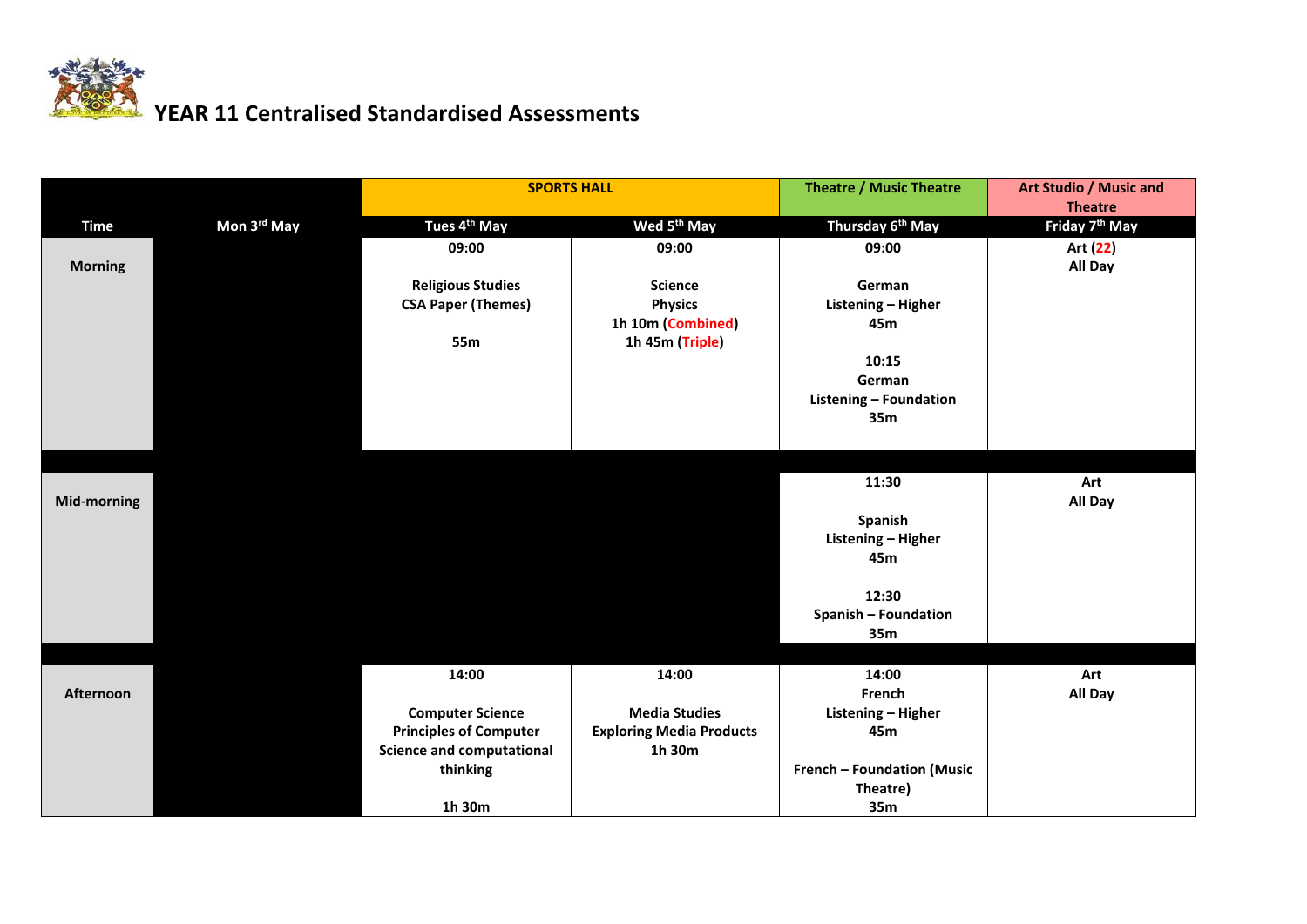

## **YEAR 11 Centralised Standardised Assessments**

|                    |             | <b>SPORTS HALL</b>               |                                      | <b>Theatre / Music Theatre</b>         | Art Studio / Music and<br><b>Theatre</b> |
|--------------------|-------------|----------------------------------|--------------------------------------|----------------------------------------|------------------------------------------|
| <b>Time</b>        | Mon 3rd May | Tues 4 <sup>th</sup> May         | Wed 5 <sup>th</sup> May              | Thursday 6 <sup>th</sup> May           | Friday 7 <sup>th</sup> May               |
|                    |             | 09:00                            | 09:00                                | 09:00                                  | Art (22)                                 |
| <b>Morning</b>     |             |                                  |                                      |                                        | All Day                                  |
|                    |             | <b>Religious Studies</b>         | <b>Science</b>                       | German                                 |                                          |
|                    |             | <b>CSA Paper (Themes)</b>        | <b>Physics</b>                       | Listening - Higher                     |                                          |
|                    |             | 55m                              | 1h 10m (Combined)<br>1h 45m (Triple) | 45m                                    |                                          |
|                    |             |                                  |                                      | 10:15                                  |                                          |
|                    |             |                                  |                                      | German                                 |                                          |
|                    |             |                                  |                                      | Listening - Foundation                 |                                          |
|                    |             |                                  |                                      | 35m                                    |                                          |
|                    |             |                                  |                                      |                                        |                                          |
|                    |             |                                  |                                      |                                        |                                          |
|                    |             |                                  |                                      | 11:30                                  | Art                                      |
| <b>Mid-morning</b> |             |                                  |                                      |                                        | All Day                                  |
|                    |             |                                  |                                      | Spanish                                |                                          |
|                    |             |                                  |                                      | Listening - Higher<br>45m              |                                          |
|                    |             |                                  |                                      |                                        |                                          |
|                    |             |                                  |                                      | 12:30                                  |                                          |
|                    |             |                                  |                                      | <b>Spanish - Foundation</b>            |                                          |
|                    |             |                                  |                                      | 35m                                    |                                          |
|                    |             |                                  |                                      |                                        |                                          |
|                    |             | 14:00                            | 14:00                                | 14:00                                  | Art                                      |
| Afternoon          |             |                                  |                                      | French                                 | All Day                                  |
|                    |             | <b>Computer Science</b>          | <b>Media Studies</b>                 | Listening - Higher                     |                                          |
|                    |             | <b>Principles of Computer</b>    | <b>Exploring Media Products</b>      | 45m                                    |                                          |
|                    |             | <b>Science and computational</b> | 1h 30m                               |                                        |                                          |
|                    |             | thinking                         |                                      | French - Foundation (Music<br>Theatre) |                                          |
|                    |             | 1h 30m                           |                                      | 35m                                    |                                          |
|                    |             |                                  |                                      |                                        |                                          |